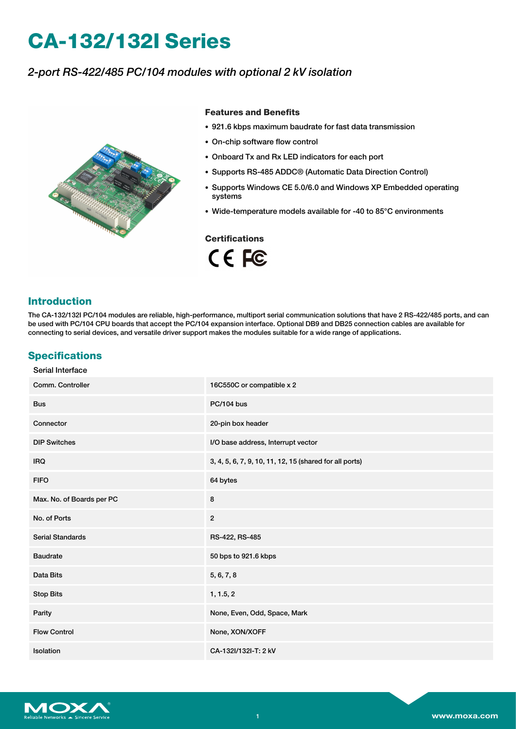# **CA-132/132I Series**

# *2-port RS-422/485 PC/104 modules with optional 2 kV isolation*



### **Features and Benefits**

- 921.6 kbps maximum baudrate for fast data transmission
- On-chip software flow control
- Onboard Tx and Rx LED indicators for each port
- Supports RS-485 ADDC® (Automatic Data Direction Control)
- Supports Windows CE 5.0/6.0 and Windows XP Embedded operating systems
- Wide-temperature models available for -40 to 85°C environments

## **Certifications**

CE FC

## **Introduction**

The CA-132/132I PC/104 modules are reliable, high-performance, multiport serial communication solutions that have 2 RS-422/485 ports, and can be used with PC/104 CPU boards that accept the PC/104 expansion interface. Optional DB9 and DB25 connection cables are available for connecting to serial devices, and versatile driver support makes the modules suitable for a wide range of applications.

# **Specifications**

| Serial Interface          |                                                         |  |  |
|---------------------------|---------------------------------------------------------|--|--|
| Comm. Controller          | 16C550C or compatible x 2                               |  |  |
| <b>Bus</b>                | <b>PC/104 bus</b>                                       |  |  |
| Connector                 | 20-pin box header                                       |  |  |
| <b>DIP Switches</b>       | I/O base address, Interrupt vector                      |  |  |
| <b>IRQ</b>                | 3, 4, 5, 6, 7, 9, 10, 11, 12, 15 (shared for all ports) |  |  |
| <b>FIFO</b>               | 64 bytes                                                |  |  |
| Max. No. of Boards per PC | 8                                                       |  |  |
| No. of Ports              | $\sqrt{2}$                                              |  |  |
| <b>Serial Standards</b>   | RS-422, RS-485                                          |  |  |
| <b>Baudrate</b>           | 50 bps to 921.6 kbps                                    |  |  |
| Data Bits                 | 5, 6, 7, 8                                              |  |  |
| <b>Stop Bits</b>          | 1, 1.5, 2                                               |  |  |
| Parity                    | None, Even, Odd, Space, Mark                            |  |  |
| <b>Flow Control</b>       | None, XON/XOFF                                          |  |  |
| <b>Isolation</b>          | CA-132I/132I-T: 2 kV                                    |  |  |

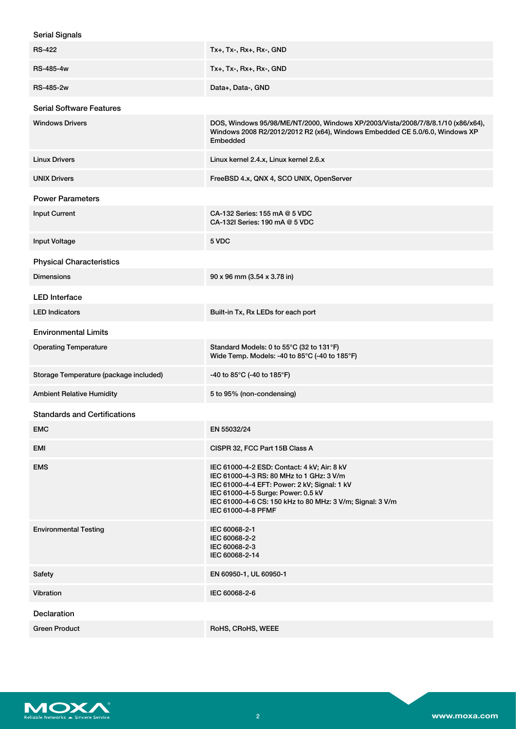| <b>Serial Signals</b>                  |                                                                                                                                                                                                                                                                  |
|----------------------------------------|------------------------------------------------------------------------------------------------------------------------------------------------------------------------------------------------------------------------------------------------------------------|
| <b>RS-422</b>                          | Tx+, Tx-, Rx+, Rx-, GND                                                                                                                                                                                                                                          |
| RS-485-4w                              | Tx+, Tx-, Rx+, Rx-, GND                                                                                                                                                                                                                                          |
| <b>RS-485-2w</b>                       | Data+, Data-, GND                                                                                                                                                                                                                                                |
| <b>Serial Software Features</b>        |                                                                                                                                                                                                                                                                  |
| <b>Windows Drivers</b>                 | DOS, Windows 95/98/ME/NT/2000, Windows XP/2003/Vista/2008/7/8/8.1/10 (x86/x64),<br>Windows 2008 R2/2012/2012 R2 (x64), Windows Embedded CE 5.0/6.0, Windows XP<br>Embedded                                                                                       |
| <b>Linux Drivers</b>                   | Linux kernel 2.4.x, Linux kernel 2.6.x                                                                                                                                                                                                                           |
| <b>UNIX Drivers</b>                    | FreeBSD 4.x, QNX 4, SCO UNIX, OpenServer                                                                                                                                                                                                                         |
| <b>Power Parameters</b>                |                                                                                                                                                                                                                                                                  |
| <b>Input Current</b>                   | CA-132 Series: 155 mA @ 5 VDC<br>CA-132I Series: 190 mA @ 5 VDC                                                                                                                                                                                                  |
| <b>Input Voltage</b>                   | 5 VDC                                                                                                                                                                                                                                                            |
| <b>Physical Characteristics</b>        |                                                                                                                                                                                                                                                                  |
| <b>Dimensions</b>                      | 90 x 96 mm (3.54 x 3.78 in)                                                                                                                                                                                                                                      |
| <b>LED Interface</b>                   |                                                                                                                                                                                                                                                                  |
| <b>LED Indicators</b>                  | Built-in Tx, Rx LEDs for each port                                                                                                                                                                                                                               |
| <b>Environmental Limits</b>            |                                                                                                                                                                                                                                                                  |
| <b>Operating Temperature</b>           | Standard Models: 0 to 55°C (32 to 131°F)<br>Wide Temp. Models: -40 to 85°C (-40 to 185°F)                                                                                                                                                                        |
| Storage Temperature (package included) | -40 to 85°C (-40 to 185°F)                                                                                                                                                                                                                                       |
| <b>Ambient Relative Humidity</b>       | 5 to 95% (non-condensing)                                                                                                                                                                                                                                        |
| <b>Standards and Certifications</b>    |                                                                                                                                                                                                                                                                  |
| EMC                                    | EN 55032/24                                                                                                                                                                                                                                                      |
| EMI                                    | CISPR 32, FCC Part 15B Class A                                                                                                                                                                                                                                   |
| <b>EMS</b>                             | IEC 61000-4-2 ESD: Contact: 4 kV; Air: 8 kV<br>IEC 61000-4-3 RS: 80 MHz to 1 GHz: 3 V/m<br>IEC 61000-4-4 EFT: Power: 2 kV; Signal: 1 kV<br>IEC 61000-4-5 Surge: Power: 0.5 kV<br>IEC 61000-4-6 CS: 150 kHz to 80 MHz: 3 V/m; Signal: 3 V/m<br>IEC 61000-4-8 PFMF |
| <b>Environmental Testing</b>           | IEC 60068-2-1<br>IEC 60068-2-2<br>IEC 60068-2-3<br>IEC 60068-2-14                                                                                                                                                                                                |
| Safety                                 | EN 60950-1, UL 60950-1                                                                                                                                                                                                                                           |
| Vibration                              | IEC 60068-2-6                                                                                                                                                                                                                                                    |
| <b>Declaration</b>                     |                                                                                                                                                                                                                                                                  |
| <b>Green Product</b>                   | RoHS, CRoHS, WEEE                                                                                                                                                                                                                                                |